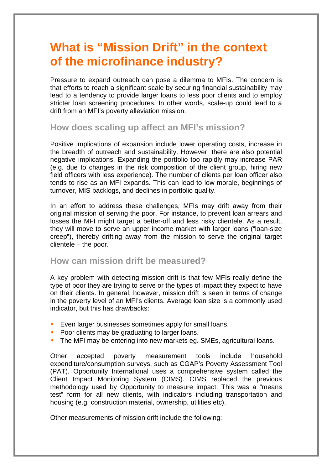## **What is "Mission Drift" in the context of the microfinance industry?**

Pressure to expand outreach can pose a dilemma to MFIs. The concern is that efforts to reach a significant scale by securing financial sustainability may lead to a tendency to provide larger loans to less poor clients and to employ stricter loan screening procedures. In other words, scale-up could lead to a drift from an MFI's poverty alleviation mission.

## **How does scaling up affect an MFI's mission?**

Positive implications of expansion include lower operating costs, increase in the breadth of outreach and sustainability. However, there are also potential negative implications. Expanding the portfolio too rapidly may increase PAR (e.g. due to changes in the risk composition of the client group, hiring new field officers with less experience). The number of clients per loan officer also tends to rise as an MFI expands. This can lead to low morale, beginnings of turnover, MIS backlogs, and declines in portfolio quality.

In an effort to address these challenges, MFIs may drift away from their original mission of serving the poor. For instance, to prevent loan arrears and losses the MFI might target a better-off and less risky clientele. As a result, they will move to serve an upper income market with larger loans ("loan-size creep"), thereby drifting away from the mission to serve the original target clientele – the poor.

## **How can mission drift be measured?**

A key problem with detecting mission drift is that few MFIs really define the type of poor they are trying to serve or the types of impact they expect to have on their clients. In general, however, mission drift is seen in terms of change in the poverty level of an MFI's clients. Average loan size is a commonly used indicator, but this has drawbacks:

- Even larger businesses sometimes apply for small loans.
- Poor clients may be graduating to larger loans.
- The MFI may be entering into new markets eg. SMEs, agricultural loans.

Other accepted poverty measurement tools include household expenditure/consumption surveys, such as CGAP's Poverty Assessment Tool (PAT). Opportunity International uses a comprehensive system called the Client Impact Monitoring System (CIMS). CIMS replaced the previous methodology used by Opportunity to measure impact. This was a "means test" form for all new clients, with indicators including transportation and housing (e.g. construction material, ownership, utilities etc).

Other measurements of mission drift include the following: